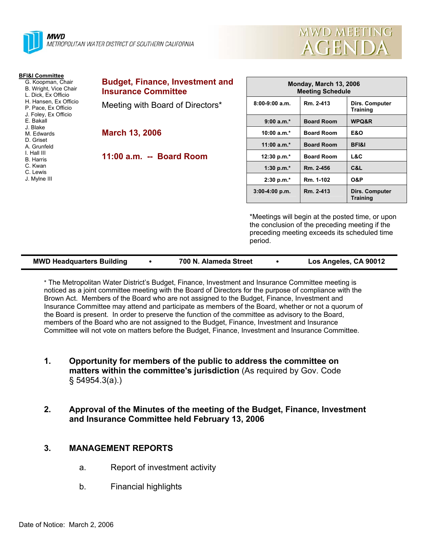

| MWD MEETING |  |
|-------------|--|
| AGENDA      |  |

| <b>BFI&amp;I Committee</b><br>G. Koopman, Chair<br>B. Wright, Vice Chair<br>L. Dick, Ex Officio | <b>Budget, Finance, Investment and</b><br><b>Insurance Committee</b> | <b>Monday, March 13, 2006</b><br><b>Meeting Schedule</b>  |                   |                                                                                                  |  |
|-------------------------------------------------------------------------------------------------|----------------------------------------------------------------------|-----------------------------------------------------------|-------------------|--------------------------------------------------------------------------------------------------|--|
| H. Hansen, Ex Officio<br>P. Pace, Ex Officio<br>J. Foley, Ex Officio                            | Meeting with Board of Directors*                                     | $8:00-9:00$ a.m.                                          | Rm. 2-413         | Dirs. Computer<br><b>Training</b>                                                                |  |
| E. Bakall                                                                                       |                                                                      | $9:00 a.m.*$                                              | <b>Board Room</b> | WPQ&R                                                                                            |  |
| J. Blake<br>M. Edwards                                                                          | <b>March 13, 2006</b>                                                | 10:00 $a.m.*$                                             | <b>Board Room</b> | <b>E&amp;O</b>                                                                                   |  |
| D. Griset<br>A. Grunfeld                                                                        |                                                                      | $11:00 a.m.*$                                             | <b>Board Room</b> | <b>BFI&amp;I</b>                                                                                 |  |
| I. Hall III<br><b>B.</b> Harris                                                                 | 11:00 a.m. -- Board Room                                             | 12:30 p.m.*                                               | <b>Board Room</b> | L&C                                                                                              |  |
| C. Kwan<br>C. Lewis                                                                             |                                                                      | 1:30 p.m. $*$                                             | Rm. 2-456         | C&L                                                                                              |  |
| J. Mylne III                                                                                    |                                                                      | $2:30 p.m.*$                                              | Rm. 1-102         | <b>O&amp;P</b>                                                                                   |  |
|                                                                                                 |                                                                      | $3:00-4:00 p.m.$                                          | Rm. 2-413         | Dirs. Computer<br><b>Training</b>                                                                |  |
|                                                                                                 |                                                                      | the conclusion of the preceding meeting if the<br>period. |                   | *Meetings will begin at the posted time, or upon<br>preceding meeting exceeds its scheduled time |  |

| <b>MWD Headquarters Building</b> |  | 700 N. Alameda Street |  | Los Angeles, CA 90012 |
|----------------------------------|--|-----------------------|--|-----------------------|
|----------------------------------|--|-----------------------|--|-----------------------|

\* The Metropolitan Water District's Budget, Finance, Investment and Insurance Committee meeting is noticed as a joint committee meeting with the Board of Directors for the purpose of compliance with the Brown Act. Members of the Board who are not assigned to the Budget, Finance, Investment and Insurance Committee may attend and participate as members of the Board, whether or not a quorum of the Board is present. In order to preserve the function of the committee as advisory to the Board, members of the Board who are not assigned to the Budget, Finance, Investment and Insurance Committee will not vote on matters before the Budget, Finance, Investment and Insurance Committee.

- **1. Opportunity for members of the public to address the committee on matters within the committee's jurisdiction** (As required by Gov. Code § 54954.3(a).)
- **2. Approval of the Minutes of the meeting of the Budget, Finance, Investment and Insurance Committee held February 13, 2006**

# **3. MANAGEMENT REPORTS**

- a. Report of investment activity
- b. Financial highlights